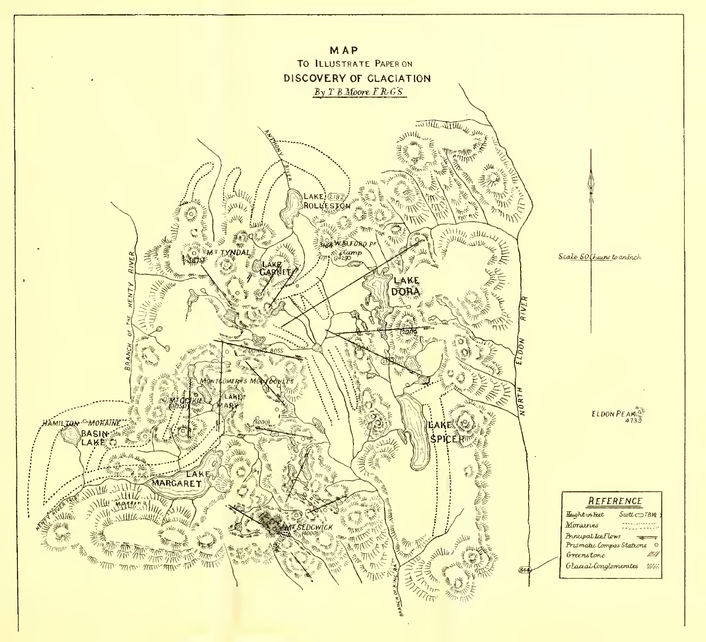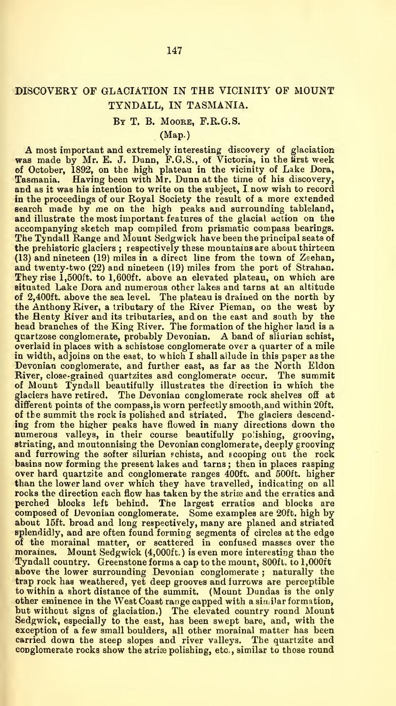# DISCOVERY OF GLACIATION IN THE VICINITY OF MOUNT TYNDALL, IN TASMANIA.

## By T. B. Moore, F.R.G.S.

### (Map.)

A most important and extremely interesting discovery of glaciation<br>was made by Mr. E. J. Dunn, F.G.S., of Victoria, in the first week<br>of October, 1892, on the high plateau in the vicinity of Lake Dora,<br>Tasmania. Having bee and as it was his intention to write on the subject, <sup>I</sup> now wish to record in the proceedings of our Royal Society the result of a more extended search made by me on the high peaks and surrounding tableland, and illustrate the most important features of the glacial action on the accompanying sketch map compiled from prismatic compass bearings. The Tyndall Range and Mount Sedgwick have been the principal seats of the prehistoric glaciers ; respectively these mountains are about thirteen (13) and nineteen (19) miles in a direct line from the town of Zeehan, and twenty-two (22) and nineteen (19) miles from the port of Strahan. They rise 1,500ft. to 1,600ft. above an elevated plateau, on which are situated Lake Dora and numerous other lakes and tarns at an altitude of 2,400ft. above the sea level. The plateau is drained on the north by the Anthony River, a tributary of the River Pieman, on the west by the Henty River and its tributaries, and on the east and south by the head branches of the King River. The formation of the higher land is a quartzose conglomerate, probably Devonian. A band of sliarian schist, overlaid in places with a schistose conglomerate over a quarter of a mile in width, adjoins on the east, to which I shall allude in this paper as the Devonian conglomerate, and further east, as far as the North Eldon River, close-grained quartzites asd conglomerate occur. The summit of Mount Tyndall beautifully illustrates the direction in which the glaciers have retired. The Devonian conglomerate rock shelves off at different points of the compass, is worn perfectly smooth, and within 20ft. of the summit the rock is polished and striated. The glaciers descending from the higher peaks have flowed in many directions down the numerous valleys, in their course beautifully polishing, grooving, striating, and moutonnising the Devonian conglomerate, deeply grooving and furrowing the softer silurian schists, and scooping out the rock basins now forming the present lakes and tarns ; then in places rasping over hard quartzite and conglomerate ranges 400ft. and 500ft. higher than the lower land over which they have travelled, indicating on all rocks the direction each flow has taken by the striæ and the erratics and<br>perched blocks left behind. The largest erratics and blocks are<br>composed of Devonian conglomerate. Some examples are 20ft. high by about 15ft. broad and long respectively, many are planed and striated<br>splendidly, and are often found forming segments of circles at the edge<br>of the morainal matter, or scattered in confused masses over the moraines. Mount Sedgwick (4,000ft.) is even more interestiog than the Tyndall country. Greenstone forms a cap to the mount, 800ft. to 1,000ft above the lower surrounding Devonian conglomerate ; naturally the trap rock has weathered, yet deep grooves and furrows are perceptible to within a short distance of the summit. (Mount Dundas is the only other eminence in the West Coast range capped with a similar formation, but without signs of glaciation.) The elevated country round Mount Sedgwick, especially to the east, has been swept bare, and, with the exception of a few small boulders, all other morainal matter has been carried down the steep slopes and river valleys. The quartzite and conglomerate rocks show the strise polishing, etc., similar to those round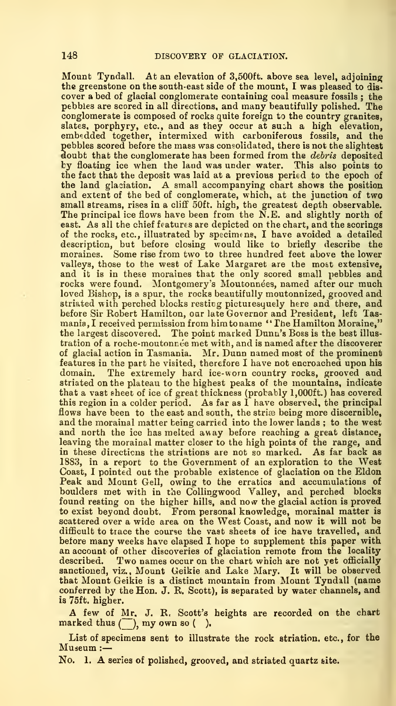Mount Tyndall. At an elevation of 3,500ft. above sea level, adjoining the greenstone on the south-east side of the mount, I was pleased to discover a bed of glacial conglomerate containing coal measure fossils ; the<br>pebbles are scored in all directions, and many beautifully polished. The conglomerate is composed of rocks quite foreign to the country granites, slates, porphyry, etc., and as they occur at suih a high elevation,<br>embedded together, intermixed with carboniferous fossils, and the<br>pebbles scored before the mass was consolidated, there is not the slightest doubt that the conglomerate has been formed from the *debris* deposited<br>by floating ice when the laud was under water. This also points to the fact that the deposit was laid at a previous peried to the epoch of the land glaciation. A small accompanying chart shows the position and extent of the bed of conglomerate, which, at the junction of two small streams, rises in a cliff 50ft. high, the greatest depth observable.<br>The principal ice flows have been from the N.E. and slightly north of east. As all the chief features are depicted on the chart, and the scorings of the rocks, etc., illustrated by specimens, I have avoided a detailed description, but before closing would like to briefly describe the moraines. Some rise from two to three hundred feet above the lower valleys, those to the west of Lake Margaret are the most extensive, and it is in these moraines that the only scored small pebbles and rocks were found. Montgomery's Moutonnees, named after our much loved Bishop, is a spur, the rocks beautifully moutonnized, grooved and striated with perched blocks resticg picturesquely here and there, and before Sir Robert Hamilton, oar late Governor and President, left Tas mania, <sup>I</sup> received permission from himtoname "The Hamilton Moraine," the largest discovered. The point marked Dunn's Boss is the best illustration of a roche-moutonnée met with, and is named after the discoverer of glacial action in Tasmania. Mr. Dunn named most of the prominent features in the part he visited, therefore I have not encroached upon his domain. The extremely hard ice-worn country rocks, grooved and striated on the plateau to the highest peaks of the mountains, indicate that a vast sheet of ice of great thickness (probably 1,000ft.) has covered this region in a colder period. As far as  $\overline{I}$  have observed, the principal flows have been to the east and south, the striæ being more discernible, and the morainal matter being carried into the lower lands ; to the west<br>and north the ice has melted away before reaching a great distance, leaving the morainal matter closer to the high points of the range, and in these directions the striations are not so marked. As far back as 1883, in a report to the Government of an exploration to the West Coast, <sup>1</sup> pointed out the probable existence of glaciation on the Eldon Peak and Mount Gell, owing to the erratics and accumulations of boulders met with in the CoUingwood Valley, and perched blocks found resting on the higher hills, and now the glacial action is proved to exist beyond doubt. From personal knowledge, morainal matter is scattered over a wide area on the West Coast, and now it will not be<br>difficult to trace the course the vast sheets of ice have travelled, and<br>before many weeks have elapsed I hope to supplement this paper with an account of other discoveries of glaciation remote from the locality described. Two names occur on the chart which are not yet officially sanctioned, viz., Mount Geikie and Lake Mary. It will be observed that Mount Geikie is a distinct mountain from Mount Tyndall (name conferred by the Hon. J. R. Scott), is separated by water channels, and is 75ft. higher.

A few of Mr. J. R, Scott's heights are recorded on the chart marked thus  $(\overline{\phantom{a}})$ , my own so  $(\phantom{a})$ .

List of specimens sent to illustrate the rock striation. etc., for the Museum :-

No. 1. A series of polished, grooved, and striated quartz site.